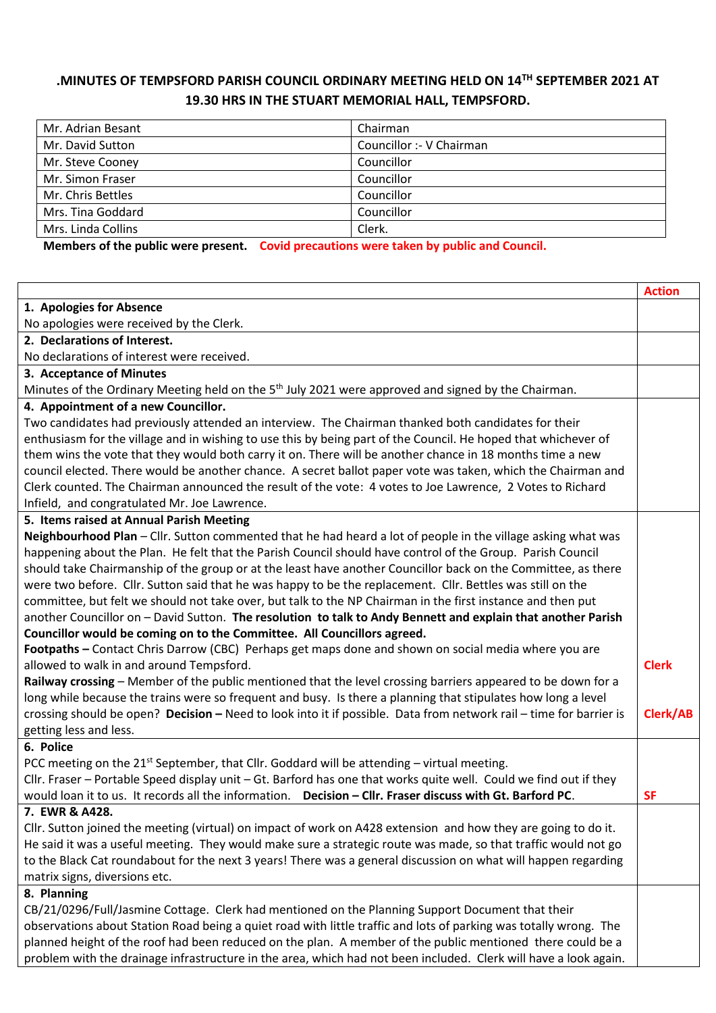## **.MINUTES OF TEMPSFORD PARISH COUNCIL ORDINARY MEETING HELD ON 14TH SEPTEMBER 2021 AT 19.30 HRS IN THE STUART MEMORIAL HALL, TEMPSFORD.**

| Mr. Adrian Besant  | Chairman                 |
|--------------------|--------------------------|
| Mr. David Sutton   | Councillor :- V Chairman |
| Mr. Steve Cooney   | Councillor               |
| Mr. Simon Fraser   | Councillor               |
| Mr. Chris Bettles  | Councillor               |
| Mrs. Tina Goddard  | Councillor               |
| Mrs. Linda Collins | Clerk.                   |
|                    |                          |

**Members of the public were present. Covid precautions were taken by public and Council.** 

|                                                                                                                    | <b>Action</b> |
|--------------------------------------------------------------------------------------------------------------------|---------------|
| 1. Apologies for Absence                                                                                           |               |
| No apologies were received by the Clerk.                                                                           |               |
| 2. Declarations of Interest.                                                                                       |               |
| No declarations of interest were received.                                                                         |               |
| 3. Acceptance of Minutes                                                                                           |               |
| Minutes of the Ordinary Meeting held on the 5 <sup>th</sup> July 2021 were approved and signed by the Chairman.    |               |
| 4. Appointment of a new Councillor.                                                                                |               |
| Two candidates had previously attended an interview. The Chairman thanked both candidates for their                |               |
| enthusiasm for the village and in wishing to use this by being part of the Council. He hoped that whichever of     |               |
| them wins the vote that they would both carry it on. There will be another chance in 18 months time a new          |               |
| council elected. There would be another chance. A secret ballot paper vote was taken, which the Chairman and       |               |
| Clerk counted. The Chairman announced the result of the vote: 4 votes to Joe Lawrence, 2 Votes to Richard          |               |
| Infield, and congratulated Mr. Joe Lawrence.                                                                       |               |
| 5. Items raised at Annual Parish Meeting                                                                           |               |
| Neighbourhood Plan - Cllr. Sutton commented that he had heard a lot of people in the village asking what was       |               |
| happening about the Plan. He felt that the Parish Council should have control of the Group. Parish Council         |               |
| should take Chairmanship of the group or at the least have another Councillor back on the Committee, as there      |               |
| were two before. Cllr. Sutton said that he was happy to be the replacement. Cllr. Bettles was still on the         |               |
| committee, but felt we should not take over, but talk to the NP Chairman in the first instance and then put        |               |
| another Councillor on - David Sutton. The resolution to talk to Andy Bennett and explain that another Parish       |               |
| Councillor would be coming on to the Committee. All Councillors agreed.                                            |               |
| Footpaths - Contact Chris Darrow (CBC) Perhaps get maps done and shown on social media where you are               |               |
| allowed to walk in and around Tempsford.                                                                           | <b>Clerk</b>  |
| Railway crossing - Member of the public mentioned that the level crossing barriers appeared to be down for a       |               |
| long while because the trains were so frequent and busy. Is there a planning that stipulates how long a level      |               |
| crossing should be open? Decision - Need to look into it if possible. Data from network rail - time for barrier is | Clerk/AB      |
| getting less and less.                                                                                             |               |
| 6. Police                                                                                                          |               |
| PCC meeting on the 21 <sup>st</sup> September, that Cllr. Goddard will be attending - virtual meeting.             |               |
| Cllr. Fraser - Portable Speed display unit - Gt. Barford has one that works quite well. Could we find out if they  |               |
| would loan it to us. It records all the information. Decision - Cllr. Fraser discuss with Gt. Barford PC.          | <b>SF</b>     |
| 7. EWR & A428.                                                                                                     |               |
| Cllr. Sutton joined the meeting (virtual) on impact of work on A428 extension and how they are going to do it.     |               |
| He said it was a useful meeting. They would make sure a strategic route was made, so that traffic would not go     |               |
| to the Black Cat roundabout for the next 3 years! There was a general discussion on what will happen regarding     |               |
| matrix signs, diversions etc.                                                                                      |               |
| 8. Planning                                                                                                        |               |
| CB/21/0296/Full/Jasmine Cottage. Clerk had mentioned on the Planning Support Document that their                   |               |
| observations about Station Road being a quiet road with little traffic and lots of parking was totally wrong. The  |               |
| planned height of the roof had been reduced on the plan. A member of the public mentioned there could be a         |               |
| problem with the drainage infrastructure in the area, which had not been included. Clerk will have a look again.   |               |